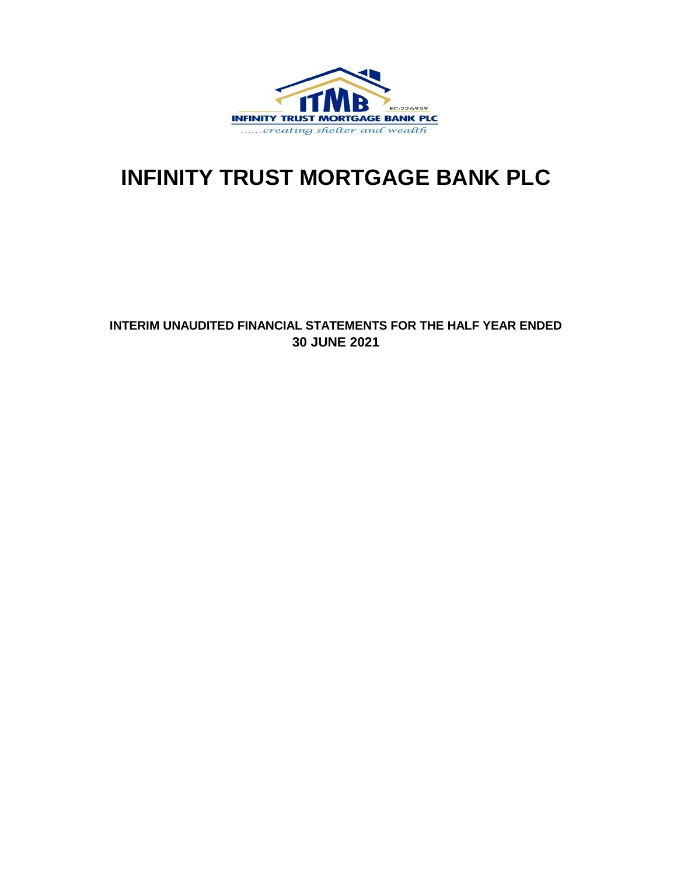

# **INFINITY TRUST MORTGAGE BANK PLC**

### **INTERIM UNAUDITED FINANCIAL STATEMENTS FOR THE HALF YEAR ENDED 30 JUNE 2021**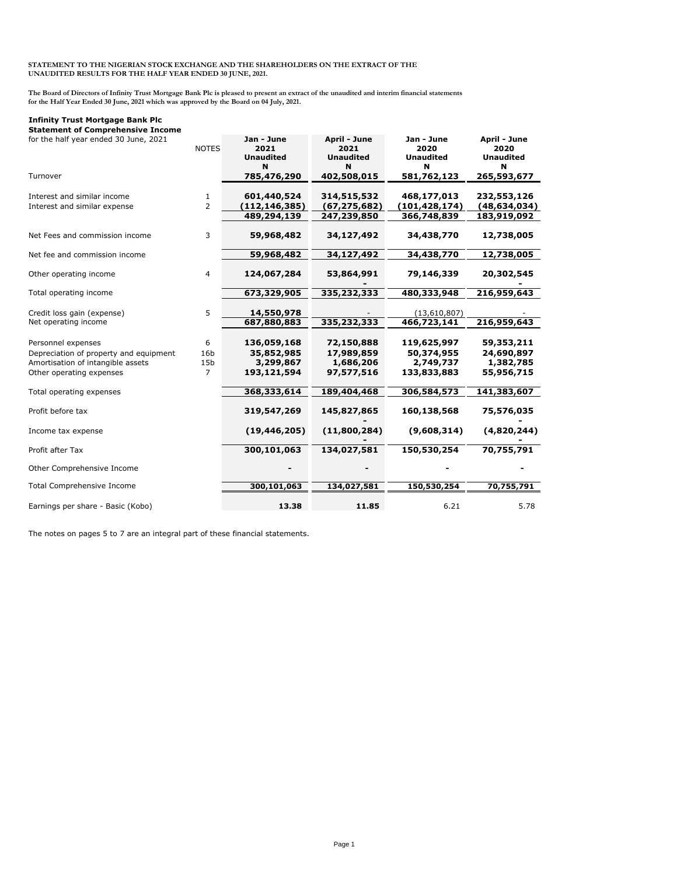#### **STATEMENT TO THE NIGERIAN STOCK EXCHANGE AND THE SHAREHOLDERS ON THE EXTRACT OF THE UNAUDITED RESULTS FOR THE HALF YEAR ENDED 30 JUNE, 2021.**

**The Board of Directors of Infinity Trust Mortgage Bank Plc is pleased to present an extract of the unaudited and interim financial statements for the Half Year Ended 30 June, 2021 which was approved by the Board on 04 July, 2021.**

#### **Infinity Trust Mortgage Bank Plc**

**Statement of Comprehensive Income**

| for the half year ended 30 June, 2021                                                                                         | <b>NOTES</b>                                 | Jan - June<br>2021<br><b>Unaudited</b><br>N           | April - June<br>2021<br><b>Unaudited</b><br>N       | Jan - June<br>2020<br><b>Unaudited</b><br>N           | April - June<br>2020<br><b>Unaudited</b><br>N       |
|-------------------------------------------------------------------------------------------------------------------------------|----------------------------------------------|-------------------------------------------------------|-----------------------------------------------------|-------------------------------------------------------|-----------------------------------------------------|
| Turnover                                                                                                                      |                                              | 785,476,290                                           | 402,508,015                                         | 581,762,123                                           | 265,593,677                                         |
| Interest and similar income<br>Interest and similar expense                                                                   | 1<br>2                                       | 601,440,524<br>(112, 146, 385)<br>489,294,139         | 314,515,532<br>(67, 275, 682)<br>247,239,850        | 468,177,013<br>(101, 428, 174)<br>366,748,839         | 232,553,126<br>(48, 634, 034)<br>183,919,092        |
| Net Fees and commission income                                                                                                | 3                                            | 59,968,482                                            | 34,127,492                                          | 34,438,770                                            | 12,738,005                                          |
| Net fee and commission income                                                                                                 |                                              | 59,968,482                                            | 34,127,492                                          | 34,438,770                                            | 12,738,005                                          |
| Other operating income                                                                                                        | 4                                            | 124,067,284                                           | 53,864,991                                          | 79,146,339                                            | 20,302,545                                          |
| Total operating income                                                                                                        |                                              | 673,329,905                                           | 335,232,333                                         | 480,333,948                                           | 216,959,643                                         |
| Credit loss gain (expense)<br>Net operating income                                                                            | 5                                            | 14,550,978<br>687,880,883                             | 335,232,333                                         | (13,610,807)<br>466,723,141                           | 216,959,643                                         |
| Personnel expenses<br>Depreciation of property and equipment<br>Amortisation of intangible assets<br>Other operating expenses | 6<br>16 <sub>b</sub><br>15 <sub>b</sub><br>7 | 136,059,168<br>35,852,985<br>3,299,867<br>193,121,594 | 72,150,888<br>17,989,859<br>1,686,206<br>97,577,516 | 119,625,997<br>50,374,955<br>2,749,737<br>133,833,883 | 59,353,211<br>24,690,897<br>1,382,785<br>55,956,715 |
| Total operating expenses                                                                                                      |                                              | 368,333,614                                           | 189,404,468                                         | 306,584,573                                           | 141,383,607                                         |
| Profit before tax                                                                                                             |                                              | 319,547,269                                           | 145,827,865                                         | 160,138,568                                           | 75,576,035                                          |
| Income tax expense                                                                                                            |                                              | (19, 446, 205)                                        | (11,800,284)                                        | (9,608,314)                                           | (4,820,244)                                         |
| Profit after Tax                                                                                                              |                                              | 300,101,063                                           | 134,027,581                                         | 150,530,254                                           | 70,755,791                                          |
| Other Comprehensive Income                                                                                                    |                                              |                                                       |                                                     |                                                       |                                                     |
| Total Comprehensive Income                                                                                                    |                                              | 300,101,063                                           | 134,027,581                                         | 150,530,254                                           | 70,755,791                                          |
| Earnings per share - Basic (Kobo)                                                                                             |                                              | 13.38                                                 | 11.85                                               | 6.21                                                  | 5.78                                                |

The notes on pages 5 to 7 are an integral part of these financial statements.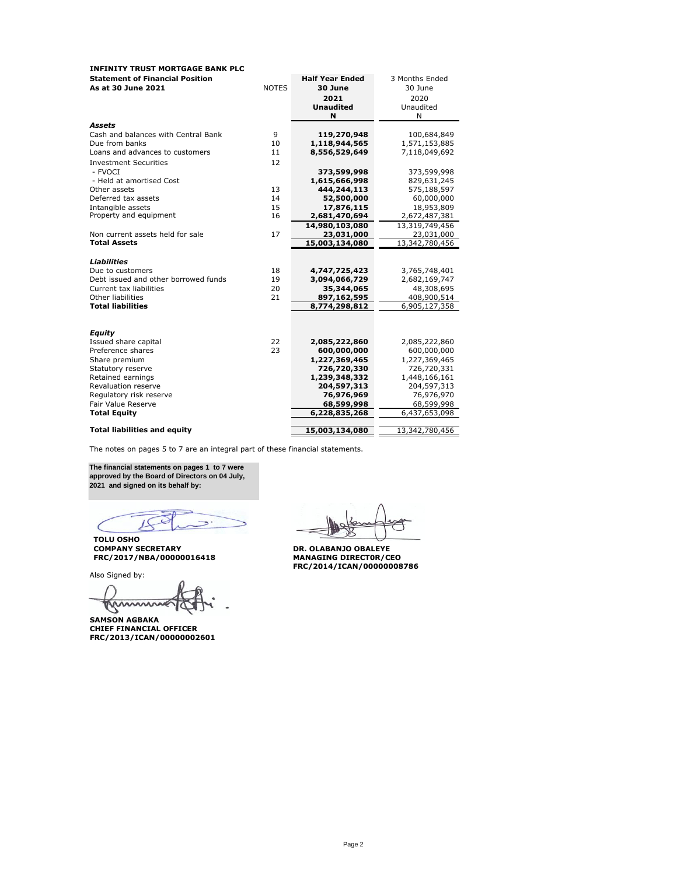| <b>INFINITY TRUST MORTGAGE BANK PLC</b> |              |                        |                |
|-----------------------------------------|--------------|------------------------|----------------|
| <b>Statement of Financial Position</b>  |              | <b>Half Year Ended</b> | 3 Months Ended |
| As at 30 June 2021                      | <b>NOTES</b> | 30 June                | 30 June        |
|                                         |              | 2021                   | 2020           |
|                                         |              | <b>Unaudited</b>       | Unaudited      |
|                                         |              | N                      | N              |
| <b>Assets</b>                           |              |                        |                |
| Cash and balances with Central Bank     | 9            | 119,270,948            | 100,684,849    |
| Due from banks                          | 10           | 1,118,944,565          | 1,571,153,885  |
| Loans and advances to customers         | 11           | 8,556,529,649          | 7,118,049,692  |
| <b>Investment Securities</b>            | 12           |                        |                |
| - FVOCI                                 |              | 373,599,998            | 373,599,998    |
| - Held at amortised Cost                |              | 1,615,666,998          | 829,631,245    |
| Other assets                            | 13           | 444,244,113            | 575,188,597    |
| Deferred tax assets                     | 14           | 52,500,000             | 60,000,000     |
| Intangible assets                       | 15           | 17,876,115             | 18,953,809     |
| Property and equipment                  | 16           | 2,681,470,694          | 2,672,487,381  |
|                                         |              | 14.980.103.080         | 13,319,749,456 |
| Non current assets held for sale        | 17           | 23,031,000             | 23,031,000     |
| <b>Total Assets</b>                     |              | 15,003,134,080         | 13,342,780,456 |
|                                         |              |                        |                |
| Liabilities                             |              |                        |                |
| Due to customers                        | 18           | 4,747,725,423          | 3,765,748,401  |
| Debt issued and other borrowed funds    | 19           | 3,094,066,729          | 2,682,169,747  |
| Current tax liabilities                 | 20           | 35,344,065             | 48,308,695     |
| Other liabilities                       | 21           | 897,162,595            | 408,900,514    |
| <b>Total liabilities</b>                |              | 8,774,298,812          | 6,905,127,358  |
|                                         |              |                        |                |
|                                         |              |                        |                |
| Equity                                  |              |                        |                |
| Issued share capital                    | 22           | 2,085,222,860          | 2,085,222,860  |
| Preference shares                       | 23           | 600,000,000            | 600,000,000    |
| Share premium                           |              | 1,227,369,465          | 1,227,369,465  |
| Statutory reserve                       |              | 726,720,330            | 726,720,331    |
| Retained earnings                       |              | 1,239,348,332          | 1,448,166,161  |
| Revaluation reserve                     |              | 204,597,313            | 204,597,313    |
| Regulatory risk reserve                 |              | 76,976,969             | 76,976,970     |
| Fair Value Reserve                      |              | 68,599,998             | 68,599,998     |
| <b>Total Equity</b>                     |              | 6,228,835,268          | 6,437,653,098  |
| <b>Total liabilities and equity</b>     |              | 15,003,134,080         | 13,342,780,456 |
|                                         |              |                        |                |

The notes on pages 5 to 7 are an integral part of these financial statements.

**The financial statements on pages 1 to 7 were approved by the Board of Directors on 04 July, 2021 and signed on its behalf by:**

 $\Rightarrow$ 

**TOLU OSHO COMPANY SECRETARY DR. OLABANJO OBALEYE FRC/2017/NBA/00000016418 MANAGING DIRECT0R/CEO**

Also Signed by:

 $\cup$   $\cup$ 

**SAMSON AGBAKA CHIEF FINANCIAL OFFICER FRC/2013/ICAN/00000002601**

**FRC/2014/ICAN/00000008786**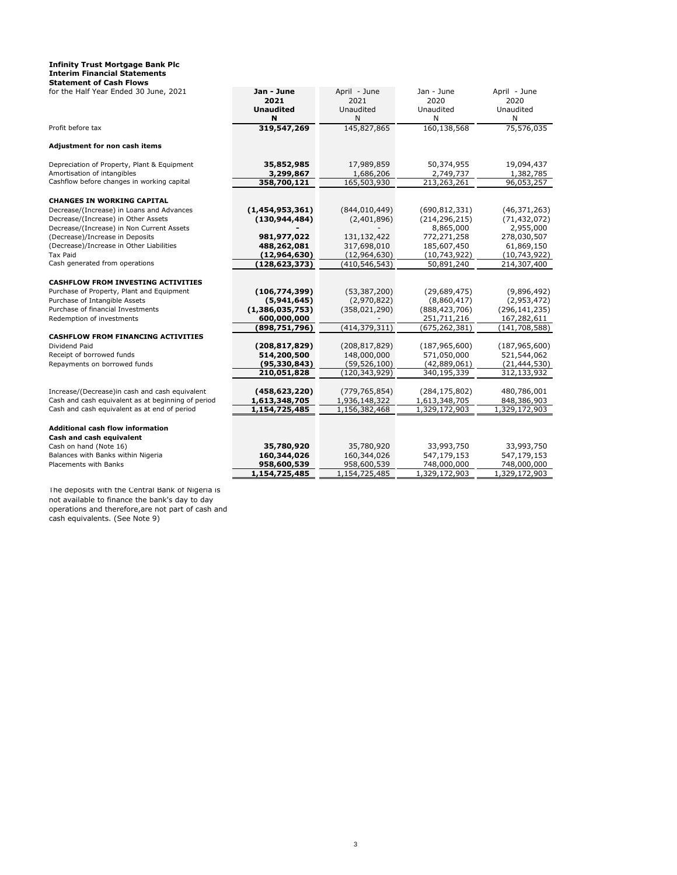#### **Infinity Trust Mortgage Bank Plc Interim Financial Statements Statement of Cash Flows**

| for the Half Year Ended 30 June, 2021                                       | Jan - June<br>2021          | April - June                  | Jan - June                  | April - June<br>2020       |
|-----------------------------------------------------------------------------|-----------------------------|-------------------------------|-----------------------------|----------------------------|
|                                                                             | <b>Unaudited</b>            | 2021<br>Unaudited             | 2020<br>Unaudited           | Unaudited                  |
|                                                                             | N                           | Ν                             | Ν                           | N                          |
| Profit before tax                                                           | 319,547,269                 | 145,827,865                   | 160,138,568                 | 75,576,035                 |
| Adjustment for non cash items                                               |                             |                               |                             |                            |
| Depreciation of Property, Plant & Equipment                                 | 35,852,985                  | 17,989,859                    | 50,374,955                  | 19,094,437                 |
| Amortisation of intangibles<br>Cashflow before changes in working capital   | 3,299,867<br>358,700,121    | 1,686,206<br>165,503,930      | 2,749,737<br>213,263,261    | 1,382,785<br>96,053,257    |
|                                                                             |                             |                               |                             |                            |
| <b>CHANGES IN WORKING CAPITAL</b>                                           |                             |                               |                             |                            |
| Decrease/(Increase) in Loans and Advances                                   | (1,454,953,361)             | (844, 010, 449)               | (690, 812, 331)             | (46, 371, 263)             |
| Decrease/(Increase) in Other Assets                                         | (130, 944, 484)             | (2,401,896)                   | (214, 296, 215)             | (71, 432, 072)             |
| Decrease/(Increase) in Non Current Assets                                   |                             |                               | 8,865,000                   | 2,955,000                  |
| (Decrease)/Increase in Deposits<br>(Decrease)/Increase in Other Liabilities | 981,977,022                 | 131,132,422                   | 772,271,258                 | 278,030,507                |
| Tax Paid                                                                    | 488,262,081<br>(12,964,630) | 317,698,010<br>(12, 964, 630) | 185,607,450<br>(10,743,922) | 61,869,150<br>(10,743,922) |
| Cash generated from operations                                              | (128,623,373)               | (410, 546, 543)               | 50,891,240                  | 214,307,400                |
|                                                                             |                             |                               |                             |                            |
| <b>CASHFLOW FROM INVESTING ACTIVITIES</b>                                   |                             |                               |                             |                            |
| Purchase of Property, Plant and Equipment                                   | (106, 774, 399)             | (53, 387, 200)                | (29,689,475)                | (9,896,492)                |
| Purchase of Intangible Assets                                               | (5,941,645)                 | (2,970,822)                   | (8,860,417)                 | (2,953,472)                |
| Purchase of financial Investments                                           | (1,386,035,753)             | (358, 021, 290)               | (888, 423, 706)             | (296, 141, 235)            |
| Redemption of investments                                                   | 600,000,000                 |                               | 251,711,216                 | 167,282,611                |
|                                                                             | (898, 751, 796)             | (414, 379, 311)               | (675, 262, 381)             | (141, 708, 588)            |
| <b>CASHFLOW FROM FINANCING ACTIVITIES</b>                                   |                             |                               |                             |                            |
| Dividend Paid                                                               | (208, 817, 829)             | (208, 817, 829)               | (187, 965, 600)             | (187, 965, 600)            |
| Receipt of borrowed funds                                                   | 514,200,500                 | 148,000,000                   | 571,050,000                 | 521,544,062                |
| Repayments on borrowed funds                                                | (95, 330, 843)              | (59, 526, 100)                | (42,889,061)                | (21, 444, 530)             |
|                                                                             | 210,051,828                 | (120, 343, 929)               | 340,195,339                 | 312,133,932                |
| Increase/(Decrease)in cash and cash equivalent                              | (458, 623, 220)             | (779, 765, 854)               | (284, 175, 802)             | 480,786,001                |
| Cash and cash equivalent as at beginning of period                          | 1,613,348,705               | 1,936,148,322                 | 1,613,348,705               | 848,386,903                |
| Cash and cash equivalent as at end of period                                | 1,154,725,485               | 1,156,382,468                 | 1,329,172,903               | 1,329,172,903              |
|                                                                             |                             |                               |                             |                            |
| <b>Additional cash flow information</b>                                     |                             |                               |                             |                            |
| Cash and cash equivalent<br>Cash on hand (Note 16)                          | 35,780,920                  | 35,780,920                    | 33,993,750                  | 33,993,750                 |
| Balances with Banks within Nigeria                                          | 160,344,026                 | 160,344,026                   | 547,179,153                 | 547,179,153                |
| Placements with Banks                                                       | 958,600,539                 | 958,600,539                   | 748,000,000                 | 748,000,000                |
|                                                                             | 1,154,725,485               | 1,154,725,485                 | 1,329,172,903               | 1,329,172,903              |
|                                                                             |                             |                               |                             |                            |

The deposits with the Central Bank of Nigeria is not available to finance the bank's day to day operations and therefore,are not part of cash and cash equivalents. (See Note 9)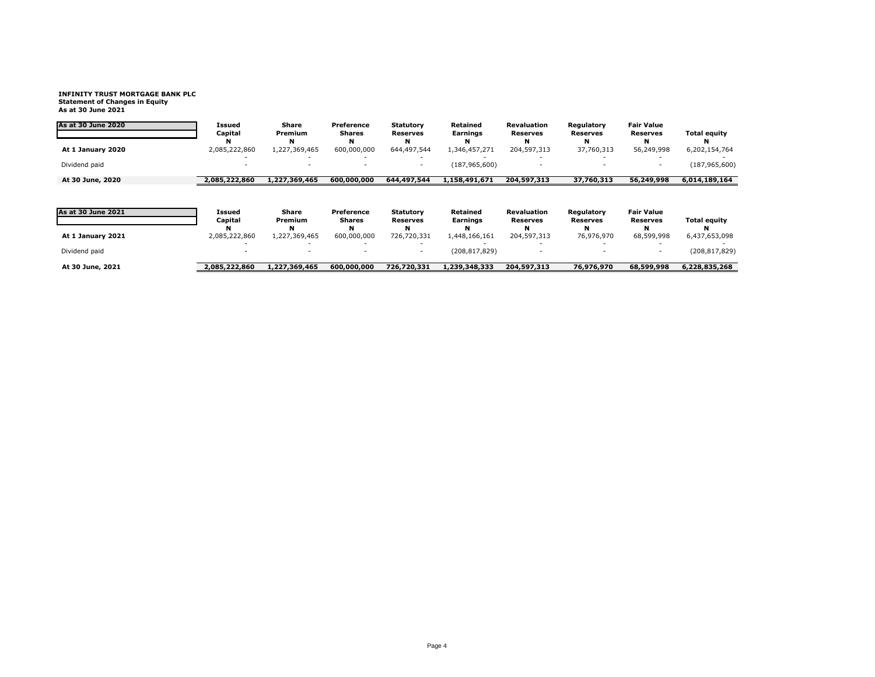## **INFINITY TRUST MORTGAGE BANK PLC Statement of Changes in Equity As at 30 June 2021**

| As at 30 June 2020        | <b>Issued</b><br>Capital | <b>Share</b><br>Premium | Preference<br><b>Shares</b> | <b>Statutory</b><br><b>Reserves</b> | Retained<br>Earnings | <b>Revaluation</b><br><b>Reserves</b> | Regulatory<br><b>Reserves</b> | <b>Fair Value</b><br><b>Reserves</b> | <b>Total equity</b> |
|---------------------------|--------------------------|-------------------------|-----------------------------|-------------------------------------|----------------------|---------------------------------------|-------------------------------|--------------------------------------|---------------------|
| At 1 January 2020         | 2,085,222,860            | N<br>1,227,369,465      | 600,000,000                 | 644,497,544                         | 1,346,457,271        | N<br>204,597,313                      | 37,760,313                    | 56,249,998                           | 6,202,154,764       |
| Dividend paid             |                          |                         |                             |                                     | (187, 965, 600)      |                                       |                               |                                      | (187, 965, 600)     |
| At 30 June, 2020          | 2,085,222,860            | 1,227,369,465           | 600,000,000                 | 644,497,544                         | 1,158,491,671        | 204,597,313                           | 37,760,313                    | 56,249,998                           | 6,014,189,164       |
| <b>As at 30 June 2021</b> | Issued<br>Capital        | Share<br>Premium        | Preference<br>Shares        | <b>Statutory</b><br><b>Reserves</b> | Retained<br>Earnings | <b>Revaluation</b><br>Reserves        | Regulatory<br><b>Reserves</b> | <b>Fair Value</b><br><b>Reserves</b> | <b>Total equity</b> |
| At 1 January 2021         | 2,085,222,860            | N<br>1,227,369,465      | 600,000,000                 | 726,720,331                         | N<br>1,448,166,161   | N<br>204,597,313                      | 76,976,970                    | 68,599,998                           | 6,437,653,098       |
| Dividend paid             |                          |                         |                             |                                     | (208, 817, 829)      |                                       |                               |                                      | (208, 817, 829)     |
| At 30 June, 2021          | 2,085,222,860            | 1,227,369,465           | 600,000,000                 | 726,720,331                         | 1,239,348,333        | 204,597,313                           | 76,976,970                    | 68,599,998                           | 6,228,835,268       |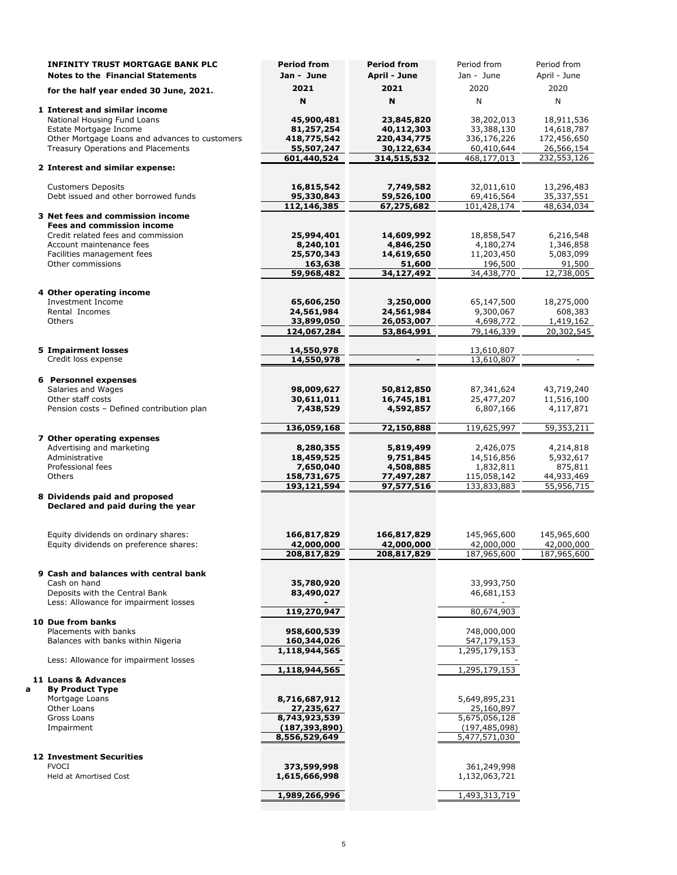|   | <b>INFINITY TRUST MORTGAGE BANK PLC</b>                                        | <b>Period from</b>               | <b>Period from</b>        | Period from                      | Period from               |
|---|--------------------------------------------------------------------------------|----------------------------------|---------------------------|----------------------------------|---------------------------|
|   | <b>Notes to the Financial Statements</b>                                       | Jan - June                       | April - June              | Jan - June                       | April - June              |
|   | for the half year ended 30 June, 2021.                                         | 2021                             | 2021                      | 2020                             | 2020                      |
|   |                                                                                | N                                | N                         | N                                | N                         |
|   | 1 Interest and similar income                                                  |                                  |                           |                                  |                           |
|   | National Housing Fund Loans<br>Estate Mortgage Income                          | 45,900,481<br>81,257,254         | 23,845,820<br>40,112,303  | 38,202,013<br>33,388,130         | 18,911,536<br>14,618,787  |
|   | Other Mortgage Loans and advances to customers                                 | 418,775,542                      | 220,434,775               | 336,176,226                      | 172,456,650               |
|   | Treasury Operations and Placements                                             | 55,507,247                       | 30,122,634                | 60,410,644                       | 26,566,154                |
|   |                                                                                | 601,440,524                      | 314,515,532               | 468,177,013                      | 232,553,126               |
|   | 2 Interest and similar expense:                                                |                                  |                           |                                  |                           |
|   | <b>Customers Deposits</b>                                                      | 16,815,542                       | 7,749,582                 | 32,011,610                       | 13,296,483                |
|   | Debt issued and other borrowed funds                                           | 95,330,843                       | 59,526,100                | 69,416,564                       | 35,337,551                |
|   | 3 Net fees and commission income                                               | 112,146,385                      | 67,275,682                | 101,428,174                      | 48,634,034                |
|   | <b>Fees and commission income</b>                                              |                                  |                           |                                  |                           |
|   | Credit related fees and commission                                             | 25,994,401                       | 14,609,992                | 18,858,547                       | 6,216,548                 |
|   | Account maintenance fees<br>Facilities management fees                         | 8,240,101<br>25,570,343          | 4,846,250<br>14,619,650   | 4,180,274<br>11,203,450          | 1,346,858<br>5,083,099    |
|   | Other commissions                                                              | 163,638                          | 51,600                    | 196,500                          | 91,500                    |
|   |                                                                                | 59,968,482                       | 34,127,492                | 34,438,770                       | 12,738,005                |
|   | 4 Other operating income                                                       |                                  |                           |                                  |                           |
|   | <b>Investment Income</b>                                                       | 65,606,250                       | 3,250,000                 | 65,147,500                       | 18,275,000                |
|   | Rental Incomes                                                                 | 24,561,984                       | 24,561,984                | 9,300,067                        | 608,383                   |
|   | Others                                                                         | 33,899,050                       | 26,053,007                | 4,698,772                        | 1,419,162                 |
|   |                                                                                | 124,067,284                      | 53,864,991                | 79,146,339                       | 20,302,545                |
|   | <b>5 Impairment losses</b>                                                     | 14,550,978                       |                           | 13,610,807                       |                           |
|   | Credit loss expense                                                            | 14,550,978                       | $\overline{\phantom{a}}$  | 13,610,807                       | $\overline{\phantom{a}}$  |
|   | 6 Personnel expenses                                                           |                                  |                           |                                  |                           |
|   | Salaries and Wages                                                             | 98,009,627                       | 50,812,850                | 87,341,624                       | 43,719,240                |
|   | Other staff costs<br>Pension costs - Defined contribution plan                 | 30,611,011<br>7,438,529          | 16,745,181<br>4,592,857   | 25,477,207<br>6,807,166          | 11,516,100<br>4,117,871   |
|   |                                                                                |                                  |                           |                                  |                           |
|   |                                                                                | 136,059,168                      | 72,150,888                | 119,625,997                      | 59,353,211                |
|   | 7 Other operating expenses<br>Advertising and marketing                        | 8,280,355                        | 5,819,499                 | 2,426,075                        | 4,214,818                 |
|   | Administrative                                                                 | 18,459,525                       | 9,751,845                 | 14,516,856                       | 5,932,617                 |
|   | Professional fees                                                              | 7,650,040                        | 4,508,885                 | 1,832,811                        | 875,811                   |
|   | Others                                                                         | 158,731,675<br>193,121,594       | 77,497,287<br>97,577,516  | 115,058,142<br>133,833,883       | 44,933,469<br>55,956,715  |
|   | 8 Dividends paid and proposed                                                  |                                  |                           |                                  |                           |
|   | Declared and paid during the year                                              |                                  |                           |                                  |                           |
|   |                                                                                |                                  |                           |                                  |                           |
|   | Equity dividends on ordinary shares:<br>Equity dividends on preference shares: | 166,817,829<br>42,000,000        | 166,817,829<br>42,000,000 | 145,965,600<br>42,000,000        | 145,965,600<br>42,000,000 |
|   |                                                                                | 208,817,829                      | 208,817,829               | 187,965,600                      | 187,965,600               |
|   |                                                                                |                                  |                           |                                  |                           |
|   | 9 Cash and balances with central bank<br>Cash on hand                          | 35,780,920                       |                           | 33,993,750                       |                           |
|   | Deposits with the Central Bank                                                 | 83,490,027                       |                           | 46,681,153                       |                           |
|   | Less: Allowance for impairment losses                                          |                                  |                           |                                  |                           |
|   | 10 Due from banks                                                              | 119,270,947                      |                           | 80,674,903                       |                           |
|   | Placements with banks                                                          | 958,600,539                      |                           | 748,000,000                      |                           |
|   | Balances with banks within Nigeria                                             | 160,344,026                      |                           | 547,179,153                      |                           |
|   | Less: Allowance for impairment losses                                          | 1,118,944,565                    |                           | 1,295,179,153                    |                           |
|   |                                                                                | 1,118,944,565                    |                           | 1,295,179,153                    |                           |
| a | 11 Loans & Advances<br><b>By Product Type</b>                                  |                                  |                           |                                  |                           |
|   | Mortgage Loans                                                                 | 8,716,687,912                    |                           | 5,649,895,231                    |                           |
|   | Other Loans                                                                    | 27,235,627                       |                           | 25,160,897                       |                           |
|   | Gross Loans                                                                    | 8,743,923,539                    |                           | 5,675,056,128                    |                           |
|   | Impairment                                                                     | (187, 393, 890)<br>8,556,529,649 |                           | (197, 485, 098)<br>5,477,571,030 |                           |
|   |                                                                                |                                  |                           |                                  |                           |
|   | <b>12 Investment Securities</b><br><b>FVOCI</b>                                |                                  |                           |                                  |                           |
|   | Held at Amortised Cost                                                         | 373,599,998<br>1,615,666,998     |                           | 361,249,998<br>1,132,063,721     |                           |
|   |                                                                                |                                  |                           |                                  |                           |
|   |                                                                                | 1,989,266,996                    |                           | 1,493,313,719                    |                           |
|   |                                                                                |                                  |                           |                                  |                           |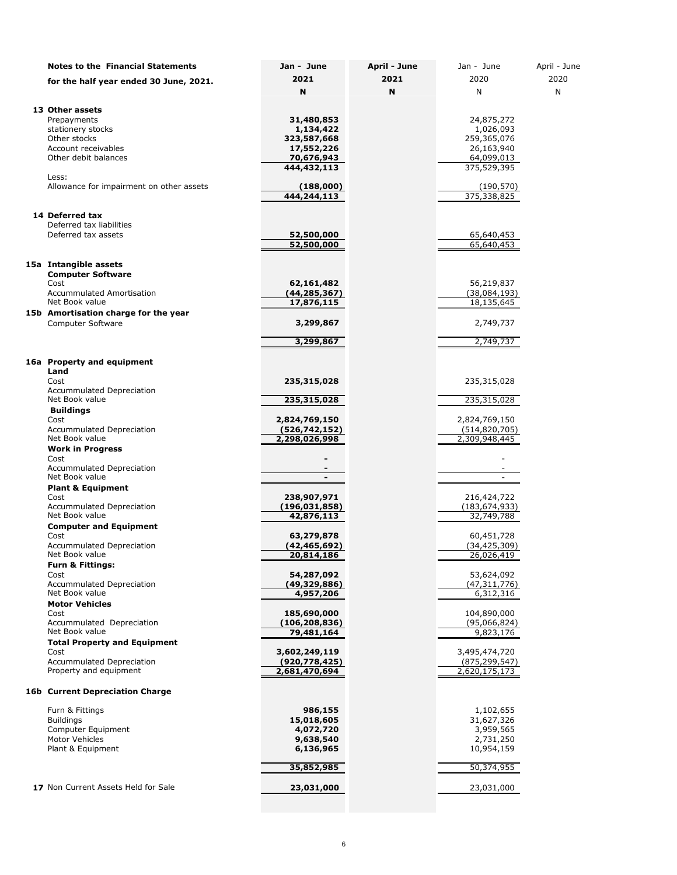| <b>Notes to the Financial Statements</b>                   | Jan - June                       | April - June | Jan - June                       | April - June |
|------------------------------------------------------------|----------------------------------|--------------|----------------------------------|--------------|
| for the half year ended 30 June, 2021.                     | 2021                             | 2021         | 2020                             | 2020         |
|                                                            | N                                | N            | N                                | N            |
| 13 Other assets                                            |                                  |              |                                  |              |
| Prepayments                                                | 31,480,853                       |              | 24,875,272                       |              |
| stationery stocks                                          | 1,134,422                        |              | 1,026,093                        |              |
| Other stocks<br>Account receivables                        | 323,587,668                      |              | 259,365,076                      |              |
| Other debit balances                                       | 17,552,226<br>70,676,943         |              | 26,163,940<br>64,099,013         |              |
|                                                            | 444,432,113                      |              | 375,529,395                      |              |
| Less:                                                      |                                  |              |                                  |              |
| Allowance for impairment on other assets                   | (188,000)<br>444,244,113         |              | (190, 570)<br>375,338,825        |              |
|                                                            |                                  |              |                                  |              |
| 14 Deferred tax                                            |                                  |              |                                  |              |
| Deferred tax liabilities                                   |                                  |              |                                  |              |
| Deferred tax assets                                        | 52,500,000<br>52,500,000         |              | 65,640,453<br>65,640,453         |              |
|                                                            |                                  |              |                                  |              |
| 15a Intangible assets                                      |                                  |              |                                  |              |
| <b>Computer Software</b>                                   |                                  |              |                                  |              |
| Cost                                                       | 62,161,482                       |              | 56,219,837                       |              |
| <b>Accummulated Amortisation</b><br>Net Book value         | (44,285,367)<br>17,876,115       |              | (38,084,193)<br>18,135,645       |              |
| 15b Amortisation charge for the year                       |                                  |              |                                  |              |
| <b>Computer Software</b>                                   | 3,299,867                        |              | 2,749,737                        |              |
|                                                            |                                  |              |                                  |              |
|                                                            | 3,299,867                        |              | 2,749,737                        |              |
| 16a Property and equipment                                 |                                  |              |                                  |              |
| Land                                                       |                                  |              |                                  |              |
| Cost                                                       | 235,315,028                      |              | 235,315,028                      |              |
| Accummulated Depreciation<br>Net Book value                | 235,315,028                      |              | 235,315,028                      |              |
| <b>Buildings</b>                                           |                                  |              |                                  |              |
| Cost                                                       | 2,824,769,150                    |              | 2,824,769,150                    |              |
| Accummulated Depreciation<br>Net Book value                | (526, 742, 152)<br>2,298,026,998 |              | (514, 820, 705)<br>2,309,948,445 |              |
| <b>Work in Progress</b>                                    |                                  |              |                                  |              |
| Cost                                                       |                                  |              |                                  |              |
| Accummulated Depreciation                                  |                                  |              |                                  |              |
| Net Book value<br><b>Plant &amp; Equipment</b>             | $\qquad \qquad \blacksquare$     |              | $\overline{\phantom{a}}$         |              |
| Cost                                                       | 238,907,971                      |              | 216,424,722                      |              |
| Accummulated Depreciation                                  | (196,031,858)                    |              | (183, 674, 933)                  |              |
| Net Book value                                             | 42,876,113                       |              | 32,749,788                       |              |
| <b>Computer and Equipment</b><br>Cost                      | 63,279,878                       |              | 60,451,728                       |              |
| <b>Accummulated Depreciation</b>                           | (42,465,692)                     |              | (34, 425, 309)                   |              |
| Net Book value                                             | 20,814,186                       |              | 26,026,419                       |              |
| <b>Furn &amp; Fittings:</b>                                |                                  |              |                                  |              |
| Cost<br><b>Accummulated Depreciation</b>                   | 54,287,092<br>(49, 329, 886)     |              | 53,624,092<br>(47, 311, 776)     |              |
| Net Book value                                             | 4,957,206                        |              | 6,312,316                        |              |
| <b>Motor Vehicles</b>                                      |                                  |              |                                  |              |
| Cost<br>Accummulated Depreciation                          | 185,690,000<br>(106, 208, 836)   |              | 104,890,000<br>(95,066,824)      |              |
| Net Book value                                             | 79,481,164                       |              | 9,823,176                        |              |
| <b>Total Property and Equipment</b>                        |                                  |              |                                  |              |
| Cost                                                       | 3,602,249,119                    |              | 3,495,474,720                    |              |
| <b>Accummulated Depreciation</b><br>Property and equipment | (920, 778, 425)<br>2,681,470,694 |              | (875, 299, 547)<br>2,620,175,173 |              |
|                                                            |                                  |              |                                  |              |
| <b>16b Current Depreciation Charge</b>                     |                                  |              |                                  |              |
| Furn & Fittings                                            | 986,155                          |              | 1,102,655                        |              |
| <b>Buildings</b>                                           | 15,018,605                       |              | 31,627,326                       |              |
| Computer Equipment<br>Motor Vehicles                       | 4,072,720<br>9,638,540           |              | 3,959,565<br>2,731,250           |              |
| Plant & Equipment                                          | 6,136,965                        |              | 10,954,159                       |              |
|                                                            |                                  |              |                                  |              |
|                                                            | 35,852,985                       |              | 50,374,955                       |              |
| 17 Non Current Assets Held for Sale                        | 23,031,000                       |              | 23,031,000                       |              |
|                                                            |                                  |              |                                  |              |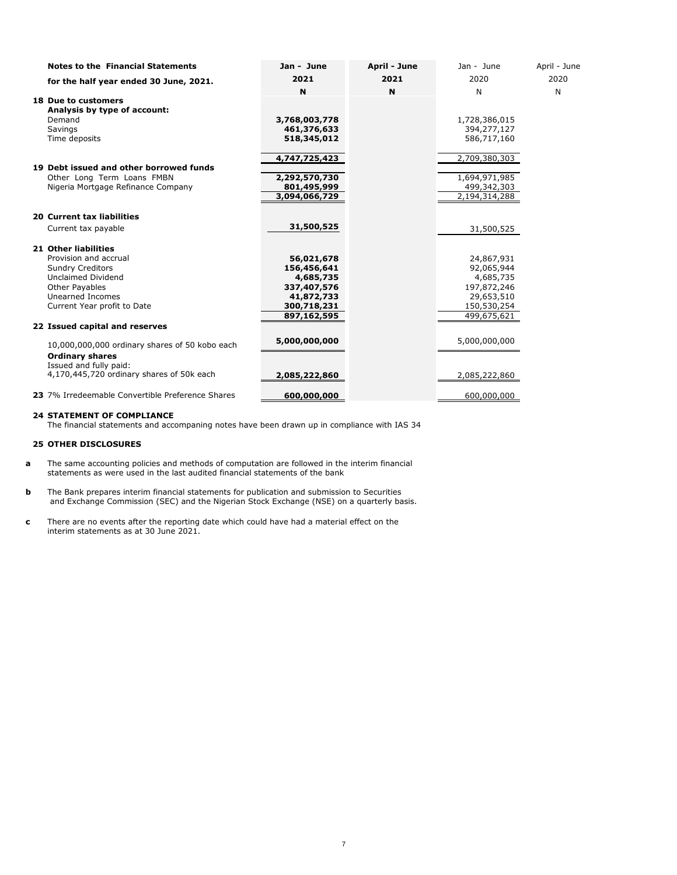| <b>Notes to the Financial Statements</b>         | Jan - June    | April - June | Jan - June    | April - June |
|--------------------------------------------------|---------------|--------------|---------------|--------------|
| for the half year ended 30 June, 2021.           | 2021          | 2021         | 2020          | 2020         |
|                                                  | N             | N            | N             | N            |
| <b>18 Due to customers</b>                       |               |              |               |              |
| Analysis by type of account:                     |               |              |               |              |
| Demand                                           | 3,768,003,778 |              | 1,728,386,015 |              |
| Savings                                          | 461,376,633   |              | 394,277,127   |              |
| Time deposits                                    | 518,345,012   |              | 586,717,160   |              |
|                                                  | 4,747,725,423 |              | 2,709,380,303 |              |
| 19 Debt issued and other borrowed funds          |               |              |               |              |
| Other Long Term Loans FMBN                       | 2,292,570,730 |              | 1,694,971,985 |              |
| Nigeria Mortgage Refinance Company               | 801,495,999   |              | 499,342,303   |              |
|                                                  | 3,094,066,729 |              | 2,194,314,288 |              |
| <b>20 Current tax liabilities</b>                |               |              |               |              |
| Current tax payable                              | 31,500,525    |              | 31,500,525    |              |
| <b>21 Other liabilities</b>                      |               |              |               |              |
| Provision and accrual                            | 56,021,678    |              | 24,867,931    |              |
| <b>Sundry Creditors</b>                          | 156,456,641   |              | 92,065,944    |              |
| <b>Unclaimed Dividend</b>                        | 4,685,735     |              | 4,685,735     |              |
| <b>Other Payables</b>                            | 337,407,576   |              | 197,872,246   |              |
| Unearned Incomes                                 | 41,872,733    |              | 29,653,510    |              |
| Current Year profit to Date                      | 300,718,231   |              | 150,530,254   |              |
|                                                  | 897,162,595   |              | 499,675,621   |              |
| 22 Issued capital and reserves                   |               |              |               |              |
| 10,000,000,000 ordinary shares of 50 kobo each   | 5,000,000,000 |              | 5,000,000,000 |              |
| <b>Ordinary shares</b>                           |               |              |               |              |
| Issued and fully paid:                           |               |              |               |              |
| 4,170,445,720 ordinary shares of 50k each        | 2,085,222,860 |              | 2,085,222,860 |              |
| 23 7% Irredeemable Convertible Preference Shares | 600,000,000   |              | 600,000,000   |              |

#### **24 STATEMENT OF COMPLIANCE**

The financial statements and accompaning notes have been drawn up in compliance with IAS 34

#### **25 OTHER DISCLOSURES**

- **a** The same accounting policies and methods of computation are followed in the interim financial statements as were used in the last audited financial statements of the bank
- **b** The Bank prepares interim financial statements for publication and submission to Securities and Exchange Commission (SEC) and the Nigerian Stock Exchange (NSE) on a quarterly basis.
- **c** There are no events after the reporting date which could have had a material effect on the interim statements as at 30 June 2021.